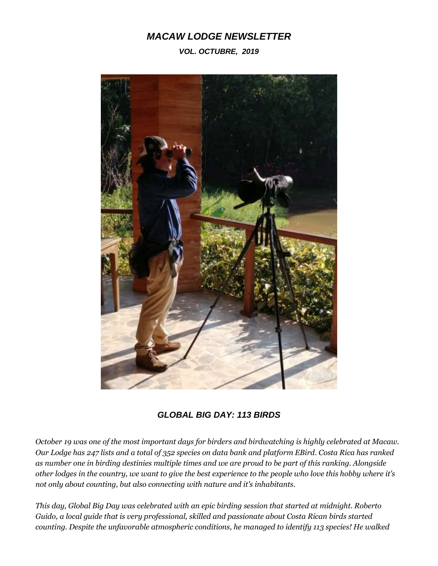## *MACAW LODGE NEWSLETTER*

## *VOL. OCTUBRE, 2019*



*GLOBAL BIG DAY: 113 BIRDS*

*October 19 was one of the most important days for birders and birdwatching is highly celebrated at Macaw. Our Lodge has 247 lists and a total of 352 species on data bank and platform EBird. Costa Rica has ranked as number one in birding destinies multiple times and we are proud to be part of this ranking. Alongside other lodges in the country, we want to give the best experience to the people who love this hobby where it's not only about counting, but also connecting with nature and it's inhabitants.*

*This day, Global Big Day was celebrated with an epic birding session that started at midnight. Roberto Guido, a local guide that is very professional, skilled and passionate about Costa Rican birds started counting. Despite the unfavorable atmospheric conditions, he managed to identify 113 species! He walked*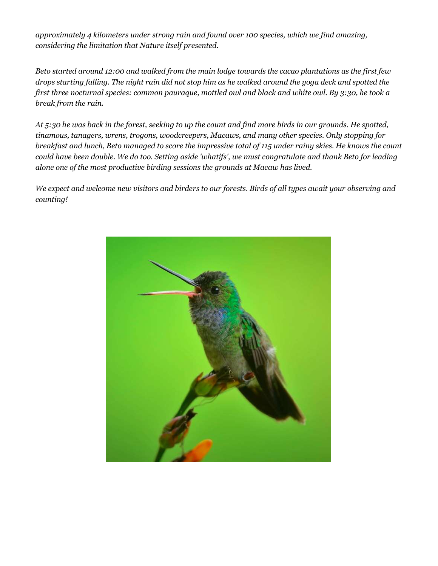*approximately 4 kilometers under strong rain and found over 100 species, which we find amazing, considering the limitation that Nature itself presented.*

*Beto started around 12:00 and walked from the main lodge towards the cacao plantations as the first few drops starting falling. The night rain did not stop him as he walked around the yoga deck and spotted the first three nocturnal species: common pauraque, mottled owl and black and white owl. By 3:30, he took a break from the rain.*

*At 5:30 he was back in the forest, seeking to up the count and find more birds in our grounds. He spotted, tinamous, tanagers, wrens, trogons, woodcreepers, Macaws, and many other species. Only stopping for breakfast and lunch, Beto managed to score the impressive total of 115 under rainy skies. He knows the count could have been double. We do too. Setting aside 'whatifs', we must congratulate and thank Beto for leading alone one of the most productive birding sessions the grounds at Macaw has lived.*

*We expect and welcome new visitors and birders to our forests. Birds of all types await your observing and counting!*

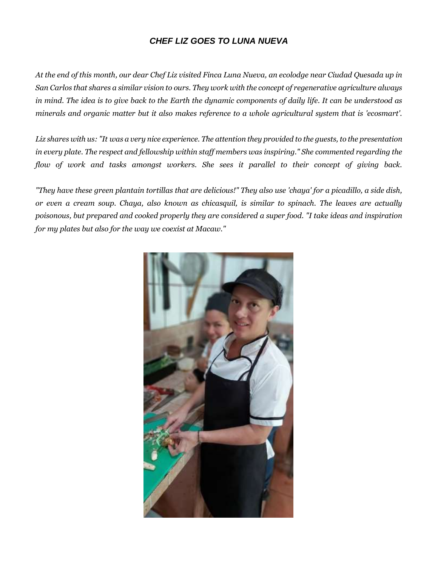## *CHEF LIZ GOES TO LUNA NUEVA*

*At the end of this month, our dear Chef Liz visited Finca Luna Nueva, an ecolodge near Ciudad Quesada up in San Carlos that shares a similar vision to ours. They work with the concept of regenerative agriculture always in mind. The idea is to give back to the Earth the dynamic components of daily life. It can be understood as minerals and organic matter but it also makes reference to a whole agricultural system that is 'ecosmart'.*

*Liz shares with us: "It was a very nice experience. The attention they provided to the guests, to the presentation in every plate. The respect and fellowship within staff members was inspiring." She commented regarding the flow of work and tasks amongst workers. She sees it parallel to their concept of giving back.*

*"They have these green plantain tortillas that are delicious!" They also use 'chaya' for a picadillo, a side dish, or even a cream soup. Chaya, also known as chicasquil, is similar to spinach. The leaves are actually poisonous, but prepared and cooked properly they are considered a super food. "I take ideas and inspiration for my plates but also for the way we coexist at Macaw."*

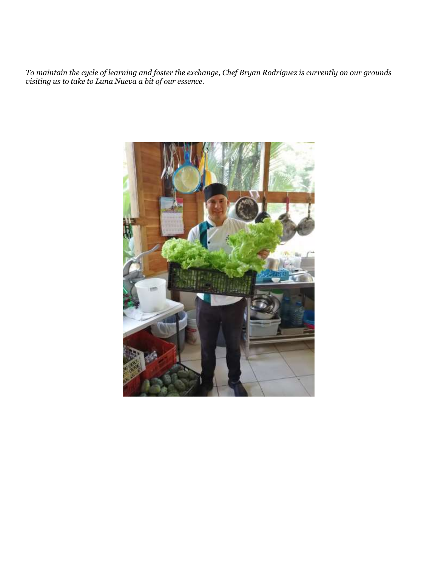*To maintain the cycle of learning and foster the exchange, Chef Bryan Rodriguez is currently on our grounds visiting us to take to Luna Nueva a bit of our essence.*

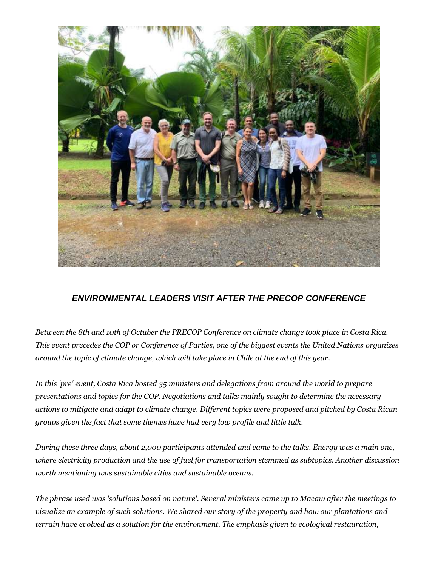

## *ENVIRONMENTAL LEADERS VISIT AFTER THE PRECOP CONFERENCE*

*Between the 8th and 10th of Octuber the PRECOP Conference on climate change took place in Costa Rica. This event precedes the COP or Conference of Parties, one of the biggest events the United Nations organizes around the topic of climate change, which will take place in Chile at the end of this year.*

*In this 'pre' event, Costa Rica hosted 35 ministers and delegations from around the world to prepare presentations and topics for the COP. Negotiations and talks mainly sought to determine the necessary actions to mitigate and adapt to climate change. Different topics were proposed and pitched by Costa Rican groups given the fact that some themes have had very low profile and little talk.*

*During these three days, about 2,000 participants attended and came to the talks. Energy was a main one, where electricity production and the use of fuel for transportation stemmed as subtopics. Another discussion worth mentioning was sustainable cities and sustainable oceans.*

*The phrase used was 'solutions based on nature'. Several ministers came up to Macaw after the meetings to visualize an example of such solutions. We shared our story of the property and how our plantations and terrain have evolved as a solution for the environment. The emphasis given to ecological restauration,*